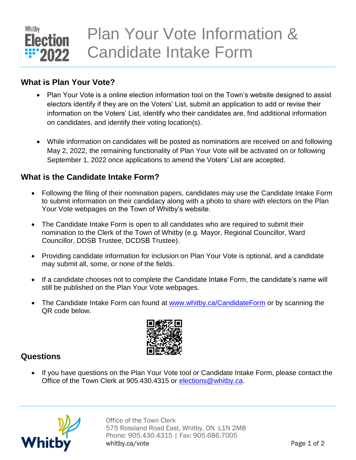

### **What is Plan Your Vote?**

- Plan Your Vote is a online election information tool on the Town's website designed to assist electors identify if they are on the Voters' List, submit an application to add or revise their information on the Voters' List, identify who their candidates are, find additional information on candidates, and identify their voting location(s).
- While information on candidates will be posted as nominations are received on and following May 2, 2022, the remaining functionality of Plan Your Vote will be activated on or following September 1, 2022 once applications to amend the Voters' List are accepted.

## **What is the Candidate Intake Form?**

- Following the filing of their nomination papers, candidates may use the Candidate Intake Form to submit information on their candidacy along with a photo to share with electors on the Plan Your Vote webpages on the Town of Whitby's website.
- The Candidate Intake Form is open to all candidates who are required to submit their nomination to the Clerk of the Town of Whitby (e.g. Mayor, Regional Councillor, Ward Councillor, DDSB Trustee, DCDSB Trustee).
- Providing candidate information for inclusion on Plan Your Vote is optional, and a candidate may submit all, some, or none of the fields.
- If a candidate chooses not to complete the Candidate Intake Form, the candidate's name will still be published on the Plan Your Vote webpages.
- The Candidate Intake Form can found at [www.whitby.ca/CandidateForm](http://www.whitby.ca/CandidateForm) or by scanning the QR code below.



### **Questions**

 If you have questions on the Plan Your Vote tool or Candidate Intake Form, please contact the Office of the Town Clerk at 905.430.4315 or [elections@whitby.ca.](mailto:elections@whitby.ca)



Office of the Town Clerk 575 Rossland Road East, Whitby, ON L1N 2M8 Phone: 905.430.4315 | Fax: 905.686.7005 whitby.ca/vote example and the page 1 of 2